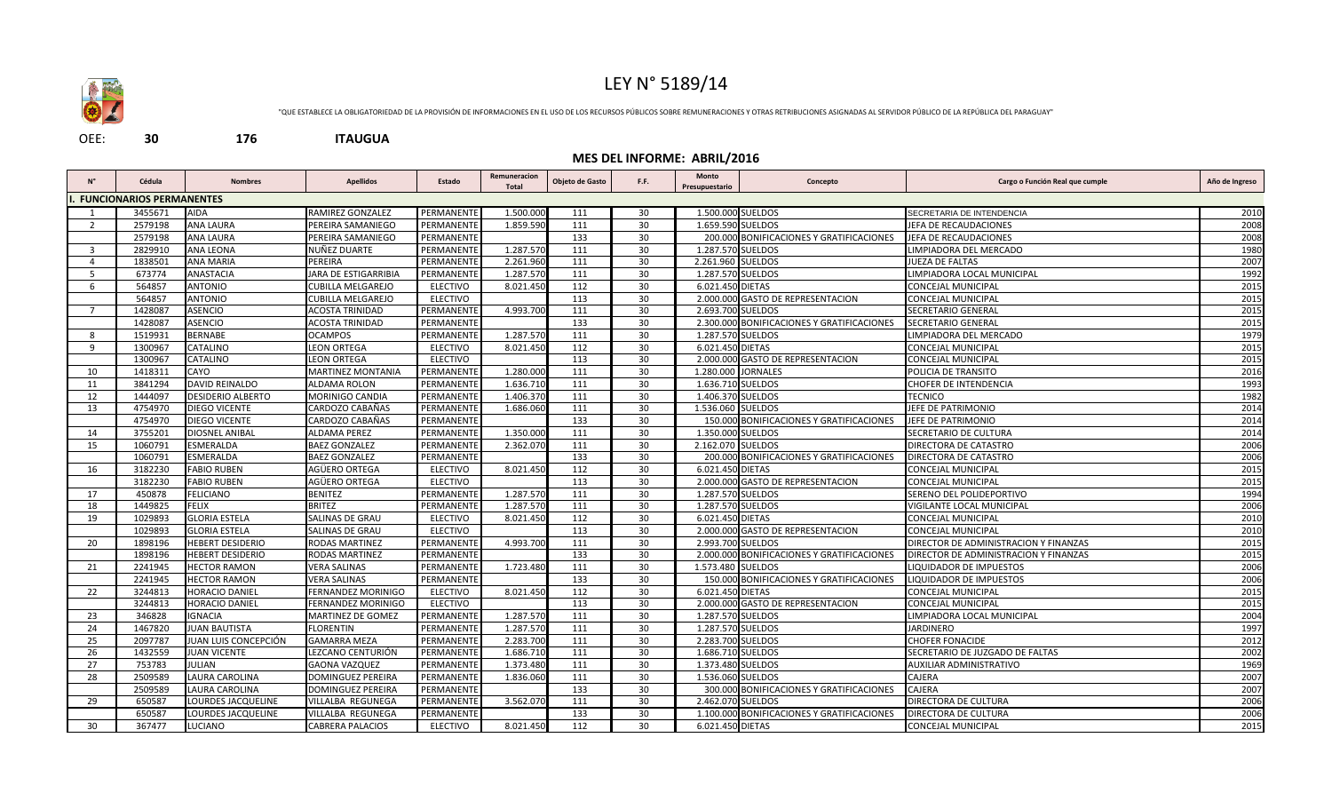

## LEY N° 5189/14

"QUE ESTABLECE LA OBLIGATORIEDAD DE LA PROVISIÓN DE INFORMACIONES EN EL USO DE LOS RECURSOS PÚBLICOS SOBRE REMUNERACIONES Y OTRAS RETRIBUCIONES ASIGNADAS AL SERVIDOR PÚBLICO DE LA REPÚBLICA DEL PARAGUAY"

OEE: **30 176 ITAUGUA**

## **MES DEL INFORME: ABRIL/2016**

| $N^{\circ}$    | Cédula                          | <b>Nombres</b>           | <b>Apellidos</b>          | Estado          | Remuneracion<br><b>Total</b> | Objeto de Gasto | F.F. | Monto<br>Presupuestario | Concepto                                   | Cargo o Función Real que cumple       | Año de Ingreso |
|----------------|---------------------------------|--------------------------|---------------------------|-----------------|------------------------------|-----------------|------|-------------------------|--------------------------------------------|---------------------------------------|----------------|
|                | <b>FUNCIONARIOS PERMANENTES</b> |                          |                           |                 |                              |                 |      |                         |                                            |                                       |                |
|                | 3455671                         | <b>AIDA</b>              | RAMIREZ GONZALEZ          | PERMANENTI      | 1.500.000                    | 111             | 30   | 1.500.000 SUELDOS       |                                            | SECRETARIA DE INTENDENCIA             | 2010           |
| $\overline{2}$ | 2579198                         | <b>ANA LAURA</b>         | PEREIRA SAMANIEGO         | PERMANENTE      | 1.859.590                    | 111             | 30   |                         | 1.659.590 SUELDOS                          | JEFA DE RECAUDACIONES                 | 2008           |
|                | 2579198                         | <b>ANA LAURA</b>         | PEREIRA SAMANIEGO         | PERMANENTE      |                              | 133             | 30   |                         | 200.000 BONIFICACIONES Y GRATIFICACIONES   | JEFA DE RECAUDACIONES                 | 2008           |
| 3              | 2829910                         | <b>ANA LEONA</b>         | NUÑEZ DUARTE              | PERMANENTE      | 1.287.570                    | 111             | 30   | 1.287.570 SUELDOS       |                                            | LIMPIADORA DEL MERCADO                | 1980           |
| $\overline{4}$ | 1838501                         | <b>ANA MARIA</b>         | PEREIRA                   | PERMANENTE      | 2.261.960                    | 111             | 30   | 2.261.960 SUELDOS       |                                            | JUEZA DE FALTAS                       | 2007           |
| -5             | 673774                          | <b>ANASTACIA</b>         | JARA DE ESTIGARRIBIA      | PERMANENTE      | 1.287.570                    | 111             | 30   | 1.287.570 SUELDOS       |                                            | LIMPIADORA LOCAL MUNICIPAL            | 1992           |
| 6              | 564857                          | <b>ANTONIO</b>           | <b>CUBILLA MELGAREJO</b>  | <b>ELECTIVO</b> | 8.021.450                    | 112             | 30   | 6.021.450 DIETAS        |                                            | CONCEJAL MUNICIPAL                    | 2015           |
|                | 564857                          | <b>ANTONIO</b>           | CUBILLA MELGAREJO         | <b>ELECTIVO</b> |                              | 113             | 30   |                         | 2.000.000 GASTO DE REPRESENTACION          | CONCEJAL MUNICIPAL                    | 2015           |
| $\overline{7}$ | 1428087                         | <b>ASENCIO</b>           | <b>ACOSTA TRINIDAD</b>    | PERMANENTI      | 4.993.700                    | 111             | 30   | 2.693.700 SUELDOS       |                                            | SECRETARIO GENERAL                    | 2015           |
|                | 1428087                         | <b>ASENCIO</b>           | ACOSTA TRINIDAD           | PERMANENTE      |                              | 133             | 30   |                         | 2.300.000 BONIFICACIONES Y GRATIFICACIONES | SECRETARIO GENERAL                    | 2015           |
| 8              | 1519931                         | <b>BERNABE</b>           | <b>OCAMPOS</b>            | PERMANENTE      | 1.287.570                    | 111             | 30   | 1.287.570 SUELDOS       |                                            | LIMPIADORA DEL MERCADO                | 1979           |
| 9              | 1300967                         | CATALINO                 | <b>LEON ORTEGA</b>        | <b>ELECTIVO</b> | 8.021.450                    | 112             | 30   | 6.021.450 DIETAS        |                                            | CONCEJAL MUNICIPAL                    | 2015           |
|                | 1300967                         | CATALINO                 | <b>LEON ORTEGA</b>        | <b>ELECTIVO</b> |                              | 113             | 30   |                         | 2.000.000 GASTO DE REPRESENTACION          | CONCEJAL MUNICIPAL                    | 2015           |
| 10             | 1418311                         | CAYO                     | <b>MARTINEZ MONTANIA</b>  | PERMANENTE      | 1.280.000                    | 111             | 30   |                         | 1.280.000 JORNALES                         | POLICIA DE TRANSITO                   | 2016           |
| 11             | 3841294                         | <b>DAVID REINALDO</b>    | ALDAMA ROLON              | PERMANENTI      | 1.636.710                    | 111             | 30   |                         | 1.636.710 SUELDOS                          | CHOFER DE INTENDENCIA                 | 1993           |
| 12             | 1444097                         | <b>DESIDERIO ALBERTO</b> | MORINIGO CANDIA           | PERMANENTE      | 1.406.370                    | 111             | 30   | 1.406.370 SUELDOS       |                                            | <b>TECNICO</b>                        | 1982           |
| 13             | 4754970                         | DIEGO VICENTE            | CARDOZO CABAÑAS           | PERMANENTE      | 1.686.060                    | 111             | 30   | 1.536.060 SUELDOS       |                                            | JEFE DE PATRIMONIO                    | 2014           |
|                | 4754970                         | DIEGO VICENTE            | CARDOZO CABAÑAS           | PERMANENTE      |                              | 133             | 30   |                         | 150.000 BONIFICACIONES Y GRATIFICACIONES   | JEFE DE PATRIMONIO                    | 2014           |
| 14             | 3755201                         | DIOSNEL ANIBAL           | <b>ALDAMA PEREZ</b>       | PERMANENTE      | 1.350.000                    | 111             | 30   | 1.350.000 SUELDOS       |                                            | SECRETARIO DE CULTURA                 | 2014           |
| 15             | 1060791                         | ESMERALDA                | <b>BAEZ GONZALEZ</b>      | PERMANENTI      | 2.362.070                    | 111             | 30   | 2.162.070 SUELDOS       |                                            | DIRECTORA DE CATASTRO                 | 2006           |
|                | 1060791                         | ESMERALDA                | <b>BAEZ GONZALEZ</b>      | PERMANENTE      |                              | 133             | 30   |                         | 200.000 BONIFICACIONES Y GRATIFICACIONES   | DIRECTORA DE CATASTRO                 | 2006           |
| 16             | 3182230                         | <b>FABIO RUBEN</b>       | AGÜERO ORTEGA             | <b>ELECTIVO</b> | 8.021.450                    | 112             | 30   | 6.021.450 DIETAS        |                                            | CONCEJAL MUNICIPAL                    | 2015           |
|                | 3182230                         | <b>FABIO RUBEN</b>       | AGÜERO ORTEGA             | <b>ELECTIVO</b> |                              | 113             | 30   |                         | 2.000.000 GASTO DE REPRESENTACION          | CONCEJAL MUNICIPAL                    | 2015           |
| 17             | 450878                          | <b>FELICIANO</b>         | BENITEZ                   | PERMANENTE      | 1.287.570                    | 111             | 30   | 1.287.570 SUELDOS       |                                            | SERENO DEL POLIDEPORTIVO              | 1994           |
| 18             | 1449825                         | <b>FELIX</b>             | <b>BRITEZ</b>             | PERMANENTI      | 1.287.570                    | 111             | 30   | 1.287.570 SUELDOS       |                                            | VIGILANTE LOCAL MUNICIPAL             | 2006           |
| 19             | 1029893                         | <b>GLORIA ESTELA</b>     | SALINAS DE GRAU           | <b>ELECTIVO</b> | 8.021.450                    | 112             | 30   | 6.021.450 DIETAS        |                                            | CONCEJAL MUNICIPAL                    | 2010           |
|                | 1029893                         | <b>GLORIA ESTELA</b>     | SALINAS DE GRAU           | <b>ELECTIVO</b> |                              | 113             | 30   |                         | 2.000.000 GASTO DE REPRESENTACION          | CONCEJAL MUNICIPAL                    | 2010           |
| 20             | 1898196                         | <b>HEBERT DESIDERIO</b>  | <b>RODAS MARTINEZ</b>     | PERMANENTE      | 4.993.700                    | 111             | 30   |                         | 2.993.700 SUELDOS                          | DIRECTOR DE ADMINISTRACION Y FINANZAS | 2015           |
|                | 1898196                         | <b>HEBERT DESIDERIO</b>  | RODAS MARTINEZ            | PERMANENTE      |                              | 133             | 30   |                         | 2.000.000 BONIFICACIONES Y GRATIFICACIONES | DIRECTOR DE ADMINISTRACION Y FINANZAS | 2015           |
| 21             | 2241945                         | <b>HECTOR RAMON</b>      | <b>VERA SALINAS</b>       | PERMANENTE      | 1.723.480                    | 111             | 30   | 1.573.480 SUELDOS       |                                            | LIQUIDADOR DE IMPUESTOS               | 2006           |
|                | 2241945                         | <b>HECTOR RAMON</b>      | <b>VERA SALINAS</b>       | PERMANENTE      |                              | 133             | 30   |                         | 150.000 BONIFICACIONES Y GRATIFICACIONES   | LIQUIDADOR DE IMPUESTOS               | 2006           |
| 22             | 3244813                         | HORACIO DANIEL           | FERNANDEZ MORINIGO        | <b>ELECTIVO</b> | 8.021.450                    | 112             | 30   | 6.021.450 DIETAS        |                                            | CONCEJAL MUNICIPAL                    | 2015           |
|                | 3244813                         | <b>HORACIO DANIEL</b>    | <b>FERNANDEZ MORINIGO</b> | <b>ELECTIVO</b> |                              | 113             | 30   |                         | 2.000.000 GASTO DE REPRESENTACION          | CONCEJAL MUNICIPAL                    | 2015           |
| 23             | 346828                          | IGNACIA                  | MARTINEZ DE GOMEZ         | PERMANENTE      | 1.287.570                    | 111             | 30   | 1.287.570 SUELDOS       |                                            | LIMPIADORA LOCAL MUNICIPAL            | 2004           |
| 24             | 1467820                         | <b>JUAN BAUTISTA</b>     | <b>FLORENTIN</b>          | PERMANENTE      | 1.287.570                    | 111             | 30   | 1.287.570 SUELDOS       |                                            | <b>JARDINERO</b>                      | 1997           |
| 25             | 2097787                         | JUAN LUIS CONCEPCIÓN     | <b>GAMARRA MEZA</b>       | PERMANENTE      | 2.283.700                    | 111             | 30   | 2.283.700 SUELDOS       |                                            | <b>CHOFER FONACIDE</b>                | 2012           |
| 26             | 1432559                         | <b>JUAN VICENTE</b>      | LEZCANO CENTURIÓN         | PERMANENTE      | 1.686.710                    | 111             | 30   | 1.686.710 SUELDOS       |                                            | SECRETARIO DE JUZGADO DE FALTAS       | 2002           |
| 27             | 753783                          | JULIAN                   | <b>GAONA VAZQUEZ</b>      | PERMANENTE      | 1.373.480                    | 111             | 30   | 1.373.480 SUELDOS       |                                            | AUXILIAR ADMINISTRATIVO               | 1969           |
| 28             | 2509589                         | LAURA CAROLINA           | <b>DOMINGUEZ PEREIRA</b>  | PERMANENTE      | 1.836.060                    | 111             | 30   |                         | 1.536.060 SUELDOS                          | CAJERA                                | 2007           |
|                | 2509589                         | LAURA CAROLINA           | <b>DOMINGUEZ PEREIRA</b>  | PERMANENTE      |                              | 133             | 30   |                         | 300.000 BONIFICACIONES Y GRATIFICACIONES   | CAJERA                                | 2007           |
| 29             | 650587                          | LOURDES JACQUELINE       | VILLALBA REGUNEGA         | PERMANENTE      | 3.562.070                    | 111             | 30   | 2.462.070 SUELDOS       |                                            | DIRECTORA DE CULTURA                  | 2006           |
|                | 650587                          | LOURDES JACQUELINE       | <b>VILLALBA REGUNEGA</b>  | PERMANENTE      |                              | 133             | 30   |                         | 1.100.000 BONIFICACIONES Y GRATIFICACIONES | DIRECTORA DE CULTURA                  | 2006           |
| 30             | 367477                          | LUCIANO                  | <b>CABRERA PALACIOS</b>   | <b>ELECTIVO</b> | 8.021.450                    | 112             | 30   | 6.021.450 DIETAS        |                                            | CONCEJAL MUNICIPAL                    | 2015           |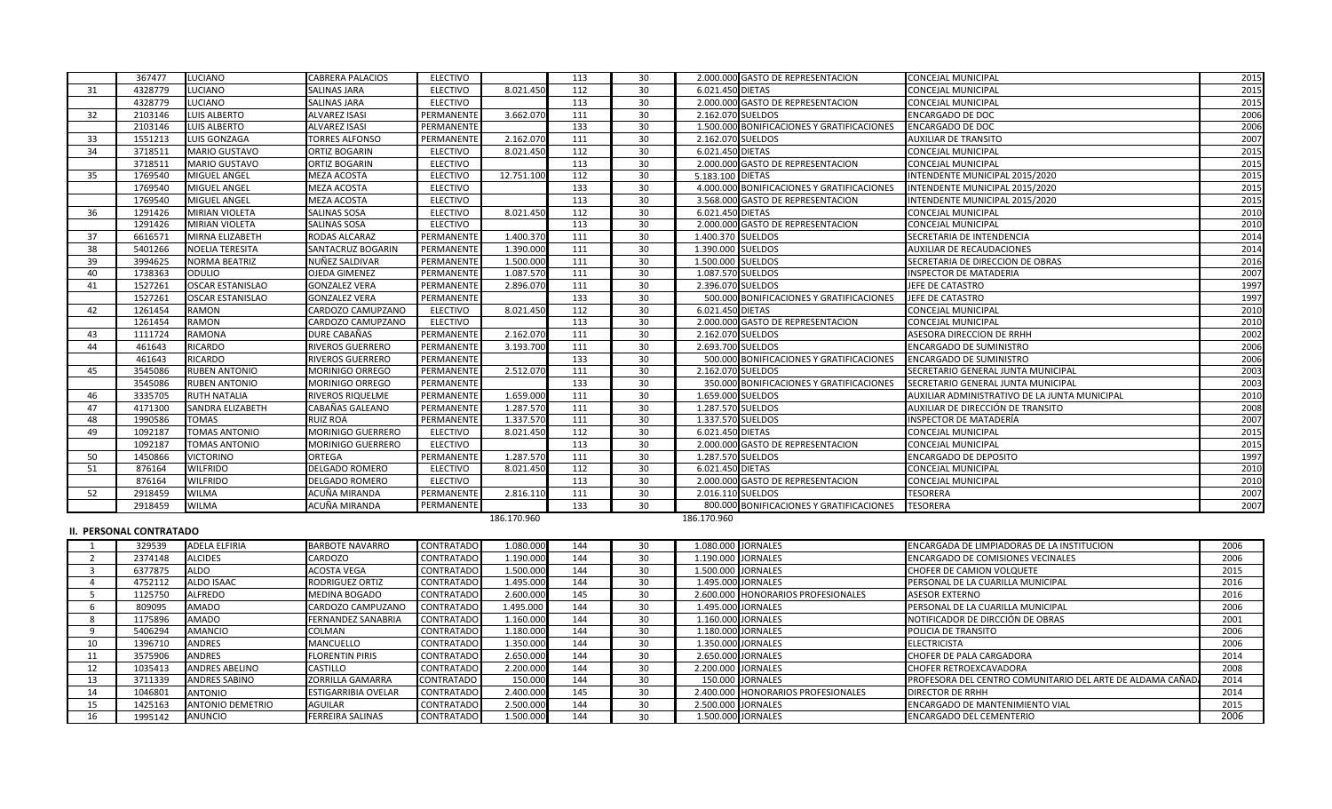|    | 367477  | <b>LUCIANO</b>          | <b>CABRERA PALACIOS</b>  | <b>ELECTIVO</b> |             | 113 | 30              | 2.000.000 GASTO DE REPRESENTACION          | <b>CONCEJAL MUNICIPAL</b>                     | 2015 |
|----|---------|-------------------------|--------------------------|-----------------|-------------|-----|-----------------|--------------------------------------------|-----------------------------------------------|------|
| 31 | 4328779 | <b>LUCIANO</b>          | <b>SALINAS JARA</b>      | <b>ELECTIVO</b> | 8.021.450   | 112 | 30              | 6.021.450 DIETAS                           | <b>CONCEJAL MUNICIPAL</b>                     | 2015 |
|    | 4328779 | <b>LUCIANO</b>          | <b>SALINAS JARA</b>      | <b>ELECTIVO</b> |             | 113 | 30              | 2.000.000 GASTO DE REPRESENTACION          | <b>CONCEJAL MUNICIPAL</b>                     | 2015 |
| 32 | 2103146 | <b>LUIS ALBERTO</b>     | <b>ALVAREZ ISASI</b>     | PERMANENTE      | 3.662.070   | 111 | 30              | 2.162.070 SUELDOS                          | <b>ENCARGADO DE DOC</b>                       | 2006 |
|    | 2103146 | LUIS ALBERTO            | <b>ALVAREZ ISASI</b>     | PERMANENTE      |             | 133 | 30              | 1.500.000 BONIFICACIONES Y GRATIFICACIONES | <b>ENCARGADO DE DOC</b>                       | 2006 |
| 33 | 1551213 | <b>LUIS GONZAGA</b>     | <b>TORRES ALFONSO</b>    | PERMANENTE      | 2.162.070   | 111 | 30              | 2.162.070 SUELDOS                          | <b>AUXILIAR DE TRANSITO</b>                   | 2007 |
| 34 | 3718511 | <b>MARIO GUSTAVO</b>    | <b>ORTIZ BOGARIN</b>     | <b>ELECTIVO</b> | 8.021.450   | 112 | 30              | 6.021.450 DIETAS                           | <b>CONCEJAL MUNICIPAL</b>                     | 2015 |
|    | 3718511 | <b>MARIO GUSTAVO</b>    | <b>ORTIZ BOGARIN</b>     | <b>ELECTIVO</b> |             | 113 | 30              | 2.000.000 GASTO DE REPRESENTACION          | <b>CONCEJAL MUNICIPAL</b>                     | 2015 |
| 35 | 1769540 | MIGUEL ANGEL            | <b>MEZA ACOSTA</b>       | <b>ELECTIVO</b> | 12.751.100  | 112 | 30              | 5.183.100 DIETAS                           | INTENDENTE MUNICIPAL 2015/2020                | 2015 |
|    | 1769540 | MIGUEL ANGEL            | MEZA ACOSTA              | <b>ELECTIVO</b> |             | 133 | 30              | 4.000.000 BONIFICACIONES Y GRATIFICACIONES | INTENDENTE MUNICIPAL 2015/2020                | 2015 |
|    | 1769540 | MIGUEL ANGEL            | <b>MEZA ACOSTA</b>       | <b>ELECTIVO</b> |             | 113 | 30              | 3.568.000 GASTO DE REPRESENTACION          | INTENDENTE MUNICIPAL 2015/2020                | 2015 |
| 36 | 1291426 | <b>MIRIAN VIOLETA</b>   | <b>SALINAS SOSA</b>      | <b>ELECTIVO</b> | 8.021.450   | 112 | 30              | 6.021.450 DIETAS                           | <b>CONCEJAL MUNICIPAL</b>                     | 2010 |
|    | 1291426 | <b>MIRIAN VIOLETA</b>   | <b>SALINAS SOSA</b>      | <b>ELECTIVO</b> |             | 113 | 30              | 2.000.000 GASTO DE REPRESENTACION          | <b>CONCEJAL MUNICIPAL</b>                     | 2010 |
| 37 | 6616571 | MIRNA ELIZABETH         | RODAS ALCARAZ            | PERMANENTE      | 1.400.370   | 111 | 30              | 1.400.370 SUELDOS                          | SECRETARIA DE INTENDENCIA                     | 2014 |
| 38 | 5401266 | <b>NOELIA TERESITA</b>  | SANTACRUZ BOGARIN        | PERMANENTE      | 1.390.000   | 111 | 30              | 1.390.000 SUELDOS                          | <b>AUXILIAR DE RECAUDACIONES</b>              | 2014 |
| 39 | 3994625 | <b>NORMA BEATRIZ</b>    | NUÑEZ SALDIVAR           | PERMANENTE      | 1.500.000   | 111 | 30              | 1.500.000 SUELDOS                          | SECRETARIA DE DIRECCION DE OBRAS              | 2016 |
| 40 | 1738363 | <b>ODULIO</b>           | <b>OJEDA GIMENEZ</b>     | PERMANENTE      | 1.087.570   | 111 | 30              | 1.087.570 SUELDOS                          | <b>INSPECTOR DE MATADERIA</b>                 | 2007 |
| 41 | 1527261 | <b>OSCAR ESTANISLAO</b> | <b>GONZALEZ VERA</b>     | PERMANENTE      | 2.896.070   | 111 | 30              | 2.396.070 SUELDOS                          | JEFE DE CATASTRO                              | 1997 |
|    | 1527261 | <b>OSCAR ESTANISLAO</b> | <b>GONZALEZ VERA</b>     | PERMANENTE      |             | 133 | 30              | 500.000 BONIFICACIONES Y GRATIFICACIONES   | JEFE DE CATASTRO                              | 1997 |
| 42 | 1261454 | <b>RAMON</b>            | CARDOZO CAMUPZANO        | <b>ELECTIVO</b> | 8.021.450   | 112 | 30              | 6.021.450 DIETAS                           | <b>CONCEJAL MUNICIPAL</b>                     | 2010 |
|    | 1261454 | <b>RAMON</b>            | CARDOZO CAMUPZANO        | <b>ELECTIVO</b> |             | 113 | 30              | 2.000.000 GASTO DE REPRESENTACION          | <b>CONCEJAL MUNICIPAL</b>                     | 2010 |
| 43 | 1111724 | <b>RAMONA</b>           | DURE CABAÑAS             | PERMANENTE      | 2.162.070   | 111 | 30              | 2.162.070 SUELDOS                          | ASESORA DIRECCION DE RRHH                     | 2002 |
| 44 | 461643  | <b>RICARDO</b>          | <b>RIVEROS GUERRERO</b>  | PERMANENTE      | 3.193.700   | 111 | 30              | 2.693.700 SUELDOS                          | <b>ENCARGADO DE SUMINISTRO</b>                | 2006 |
|    | 461643  | <b>RICARDO</b>          | <b>RIVEROS GUERRERO</b>  | PERMANENTE      |             | 133 | 30              | 500.000 BONIFICACIONES Y GRATIFICACIONES   | <b>ENCARGADO DE SUMINISTRO</b>                | 2006 |
| 45 | 3545086 | <b>RUBEN ANTONIO</b>    | <b>MORINIGO ORREGO</b>   | PERMANENTE      | 2.512.070   | 111 | 30              | 2.162.070 SUELDOS                          | SECRETARIO GENERAL JUNTA MUNICIPAL            | 2003 |
|    | 3545086 | <b>RUBEN ANTONIO</b>    | <b>MORINIGO ORREGO</b>   | PERMANENTE      |             | 133 | 30              | 350.000 BONIFICACIONES Y GRATIFICACIONES   | SECRETARIO GENERAL JUNTA MUNICIPAL            | 2003 |
| 46 | 3335705 | <b>RUTH NATALIA</b>     | RIVEROS RIQUELME         | PERMANENTE      | 1.659.000   | 111 | 30              | 1.659.000 SUELDOS                          | AUXILIAR ADMINISTRATIVO DE LA JUNTA MUNICIPAL | 2010 |
| 47 | 4171300 | <b>SANDRA ELIZABETH</b> | CABAÑAS GALEANO          | PERMANENTE      | 1.287.570   | 111 | 30              | 1.287.570 SUELDOS                          | AUXILIAR DE DIRECCIÓN DE TRANSITO             | 2008 |
| 48 | 1990586 | <b>TOMAS</b>            | <b>RUIZ ROA</b>          | PERMANENTE      | 1.337.570   | 111 | 30              | 1.337.570 SUELDOS                          | INSPECTOR DE MATADERÍA                        | 2007 |
| 49 | 1092187 | <b>TOMAS ANTONIO</b>    | <b>MORINIGO GUERRERO</b> | <b>ELECTIVO</b> | 8.021.450   | 112 | 30              | 6.021.450 DIETAS                           | <b>CONCEJAL MUNICIPAL</b>                     | 2015 |
|    | 1092187 | <b>TOMAS ANTONIO</b>    | <b>MORINIGO GUERRERO</b> | <b>ELECTIVO</b> |             | 113 | 30 <sup>°</sup> | 2.000.000 GASTO DE REPRESENTACION          | <b>CONCEJAL MUNICIPAL</b>                     | 2015 |
| 50 | 1450866 | <b>VICTORINO</b>        | <b>ORTEGA</b>            | PERMANENTE      | 1.287.570   | 111 | 30              | 1.287.570 SUELDOS                          | <b>ENCARGADO DE DEPOSITO</b>                  | 1997 |
| 51 | 876164  | <b>WILFRIDO</b>         | <b>DELGADO ROMERO</b>    | <b>ELECTIVO</b> | 8.021.450   | 112 | 30              | 6.021.450 DIETAS                           | <b>CONCEJAL MUNICIPAL</b>                     | 2010 |
|    | 876164  | <b>WILFRIDO</b>         | <b>DELGADO ROMERO</b>    | <b>ELECTIVO</b> |             | 113 | 30              | 2.000.000 GASTO DE REPRESENTACION          | <b>CONCEJAL MUNICIPAL</b>                     | 2010 |
| 52 | 2918459 | <b>WILMA</b>            | ACUÑA MIRANDA            | PERMANENTE      | 2.816.110   | 111 | 30              | 2.016.110 SUELDOS                          | <b>TESORERA</b>                               | 2007 |
|    | 2918459 | <b>WILMA</b>            | ACUÑA MIRANDA            | PERMANENTE      |             | 133 | 30              | 800.000 BONIFICACIONES Y GRATIFICACIONES   | <b>TESORERA</b>                               | 2007 |
|    |         |                         |                          |                 | 186.170.960 |     |                 | 186.170.960                                |                                               |      |

## **II. PERSONAL CONTRATADO**

 329539 ADELA ELFIRIA BARBOTE NAVARRO CONTRATADO 1.080.000 144 30 1.080.000 JORNALES ENCARGADA DE LIMPIADORAS DE LA INSTITUCION 2006 2 2374148 ALCIDES CARDOZO CONTRATADO 1.190.000 144 30 1.190.000 JORNALES ENCARGADO DE COMISIONES VECINALES 2006<br>2006 2377875 ALDO ACOSTA VEGA CONTRATADO 1.500.000 144 30 1.500.000 JORNALES CHOFER DE CAMION VOLQUETE 2015 6377875 ALDO ACOSTA VEGA CONTRATADO 1.500.000 144 30 1.500.000 JORNALES CHOFER DE CAMION VOLQUETE 2015 4 4752112 ALDO ISAAC RODRIGUEZ ORTIZ CONTRATADO 1.495.000 144 30 1.495.000 JORNALES PERSONAL DE LA CUARILLA MUNICIPAL 2016 5 1125750 ALFREDO MEDINA BOGADO CONTRATADO 2.600.000 145 30 2.600.000 HONORARIOS PROFESIONALES ASESOR EXTERNO 2016 2016<br>1.495.000 JORNALES PERSONAL DE LA CUARILLA MUNICIPAL 2006 2.000 2.000 2.44 30 1.495.000 JORNALES PROFE 809095 AMADO CARDOZO CAMPUZANO CONTRATADO 1.495.000 144 30 1.495.000 JORNALES PERSONAL DE LA CUARILLA MUNICIPAL 2006 NOTIFICADOR DE DIRCCIÓN DE OBRAS 5406294 AMANCIO COLMAN CONTRATADO 1.180.000 144 30 1.180.000 JORNALES POLICIA DE TRANSITO 2006 1396710 ANDRES MANCUELLO CONTRATADO 1.350.000 144 30 1.350.000 JORNALES ELECTRICISTA 2006 3575906 ANDRES FLORENTIN PIRIS CONTRATADO 2.650.000 144 30 2.650.000 JORNALES CHOFER DE PALA CARGADORA 2014 1035413 ANDRES ABELINO CASTILLO CONTRATADO 2.200.000 144 30 2.200.000 JORNALES CHOFER RETROEXCAVADORA 2008 13 3711339 ANDRES SABINO ZORRILLA GAMARRA CONTRATADO 150.000 144 30 150.000 JORNALES PROFESORA DEL CENTRO COMUNITARIO DEL ARTE DE ALDAMA CAÑADA 2014 1046801 ANTONIO ESTIGARRIBIA OVELAR CONTRATADO 2.400.000 145 30 2.400.000 HONORARIOS PROFESIONALES DIRECTOR DE RRHH 2014 1425163 ANTONIO DEMETRIO AGUILAR CONTRATADO 2.500.000 144 30 2.500.000 JORNALES ENCARGADO DE MANTENIMIENTO VIAL 2015 1995142 ANUNCIO FERREIRA SALINAS CONTRATADO 1.500.000 144 30 1.500.000 JORNALES ENCARGADO DEL CEMENTERIO 2006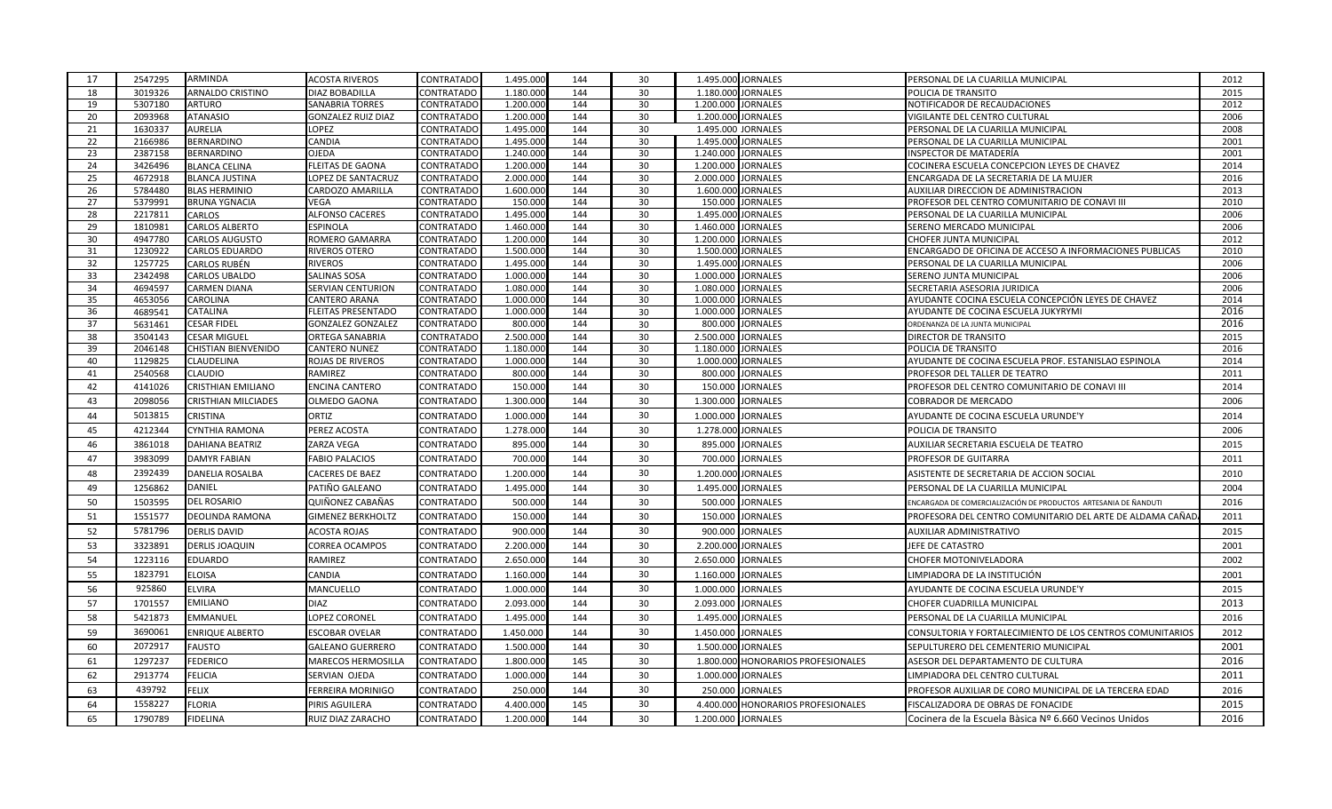| 17       | 2547295            | ARMINDA                                     | <b>ACOSTA RIVEROS</b>          | <b>CONTRATADO</b>                      | 1.495.000              | 144        | 30       | 1.495.000 JORNALES                                 | PERSONAL DE LA CUARILLA MUNICIPAL                               | 2012         |
|----------|--------------------|---------------------------------------------|--------------------------------|----------------------------------------|------------------------|------------|----------|----------------------------------------------------|-----------------------------------------------------------------|--------------|
| 18       | 3019326            | <b>ARNALDO CRISTINO</b>                     | <b>DIAZ BOBADILLA</b>          | <b>CONTRATADO</b>                      | 1.180.000              | 144        | 30       | 1.180.000 JORNALES                                 | POLICIA DE TRANSITO                                             | 2015         |
| 19       | 5307180            | <b>ARTURO</b>                               | SANABRIA TORRES                | CONTRATADO                             | 1.200.00               | 144        | 30       | 1.200.000 JORNALES                                 | NOTIFICADOR DE RECAUDACIONES                                    | 2012         |
| 20       | 2093968            | <b>ATANASIO</b>                             | GONZALEZ RUIZ DIAZ             | <b>CONTRATADO</b>                      | 1.200.000              | 144        | 30       | 1.200.000 JORNALES                                 | VIGILANTE DEL CENTRO CULTURAL                                   | 2006         |
| 21       | 1630337            | <b>AURELIA</b>                              | LOPEZ                          | <b>CONTRATADO</b>                      | 1.495.000              | 144        | 30       | 1.495.000 JORNALES                                 | PERSONAL DE LA CUARILLA MUNICIPAL                               | 2008         |
| 22       | 2166986            | BERNARDINO                                  | CANDIA                         | <b>CONTRATADO</b>                      | 1.495.000              | 144        | 30       | 1.495.000 JORNALES                                 | PERSONAL DE LA CUARILLA MUNICIPAL                               | 2001         |
| 23       | 2387158            | <b>BERNARDINO</b>                           | <b>OJEDA</b>                   | <b>CONTRATADO</b>                      | 1.240.000              | 144        | 30       | 1.240.000<br><b>JORNALES</b>                       | <b>INSPECTOR DE MATADERÍA</b>                                   | 2001         |
| 24       | 3426496            | <b>BLANCA CELINA</b>                        | FLEITAS DE GAONA               | <b>CONTRATADO</b>                      | 1.200.000              | 144        | 30       | 1.200.000 JORNALES                                 | COCINERA ESCUELA CONCEPCION LEYES DE CHAVEZ                     | 2014         |
| 25       | 4672918            | <b>BLANCA JUSTINA</b>                       | LOPEZ DE SANTACRUZ             | <b>CONTRATADO</b>                      | 2.000.000              | 144        | 30       | 2.000.000 JORNALES                                 | ENCARGADA DE LA SECRETARIA DE LA MUJER                          | 2016         |
| 26       | 5784480            | <b>BLAS HERMINIO</b>                        | CARDOZO AMARILLA               | <b>CONTRATADO</b>                      | 1.600.000              | 144        | 30       | 1.600.000 JORNALES                                 | AUXILIAR DIRECCION DE ADMINISTRACION                            | 2013         |
| 27       | 5379991            | <b>BRUNA YGNACIA</b>                        | /EGA                           | <b>CONTRATADO</b>                      | 150.00                 | 144        | 30       | <b>JORNALES</b><br>150.000                         | PROFESOR DEL CENTRO COMUNITARIO DE CONAVI III                   | 2010         |
| 28       | 2217811            | CARLOS                                      | <b>ALFONSO CACERES</b>         | <b>CONTRATADO</b>                      | 1.495.00               | 144        | 30       | 1.495.000<br><b>JORNALES</b>                       | PERSONAL DE LA CUARILLA MUNICIPAL                               | 2006         |
| 29       | 1810981            | <b>CARLOS ALBERTO</b>                       | ESPINOLA                       | <b>CONTRATADO</b>                      | 1.460.000              | 144        | 30       | 1.460.000 JORNALES                                 | SERENO MERCADO MUNICIPAL                                        | 2006         |
| 30       | 4947780            | <b>CARLOS AUGUSTO</b>                       | ROMERO GAMARRA                 | <b>CONTRATADO</b>                      | 1.200.000              | 144        | 30       | 1.200.000 JORNALES                                 | <b>CHOFER JUNTA MUNICIPAL</b>                                   | 2012         |
| 31<br>32 | 1230922<br>1257725 | <b>CARLOS EDUARDO</b>                       | RIVEROS OTERO                  | <b>CONTRATADO</b><br><b>CONTRATADO</b> | 1.500.000              | 144<br>144 | 30<br>30 | 1.500.000 JORNALES                                 | ENCARGADO DE OFICINA DE ACCESO A INFORMACIONES PUBLICAS         | 2010<br>2006 |
| 33       | 2342498            | <b>CARLOS RUBÉN</b><br><b>CARLOS UBALDO</b> | <b>RIVEROS</b><br>SALINAS SOSA | CONTRATADO                             | 1.495.000<br>1.000.000 | 144        | 30       | 1.495.000 JORNALES<br>1.000.000<br><b>JORNALES</b> | PERSONAL DE LA CUARILLA MUNICIPAL<br>SERENO JUNTA MUNICIPAL     | 2006         |
| 34       | 4694597            | <b>CARMEN DIANA</b>                         | SERVIAN CENTURION              | <b>CONTRATADO</b>                      | 1.080.000              | 144        | 30       | 1.080.000 JORNALES                                 | SECRETARIA ASESORIA JURIDICA                                    | 2006         |
| 35       | 4653056            | CAROLINA                                    | CANTERO ARANA                  | <b>CONTRATADO</b>                      | 1.000.000              | 144        | 30       | 1.000.000 JORNALES                                 | AYUDANTE COCINA ESCUELA CONCEPCIÓN LEYES DE CHAVEZ              | 2014         |
| 36       | 4689541            | CATALINA                                    | <b>FLEITAS PRESENTADO</b>      | <b>CONTRATADO</b>                      | 1.000.000              | 144        | 30       | 1.000.000 JORNALES                                 | AYUDANTE DE COCINA ESCUELA JUKYRYMI                             | 2016         |
| 37       | 5631461            | <b>CESAR FIDEL</b>                          | <b>GONZALEZ GONZALEZ</b>       | <b>CONTRATADO</b>                      | 800.00                 | 144        | 30       | 800.000 JORNALES                                   | ORDENANZA DE LA JUNTA MUNICIPAL                                 | 2016         |
| 38       | 3504143            | <b>CESAR MIGUEL</b>                         | <b>ORTEGA SANABRIA</b>         | <b>CONTRATADO</b>                      | 2.500.00               | 144        | 30       | 2.500.000<br><b>JORNALES</b>                       | DIRECTOR DE TRANSITO                                            | 2015         |
| 39       | 2046148            | <b>CHISTIAN BIENVENIDO</b>                  | CANTERO NUNEZ                  | CONTRATADO                             | 1.180.000              | 144        | 30       | 1.180.000 JORNALES                                 | POLICIA DE TRANSITO                                             | 2016         |
| 40       | 1129825            | CLAUDELINA                                  | ROJAS DE RIVEROS               | <b>CONTRATADO</b>                      | 1.000.000              | 144        | 30       | 1.000.000 JORNALES                                 | AYUDANTE DE COCINA ESCUELA PROF. ESTANISLAO ESPINOLA            | 2014         |
| 41       | 2540568            | CLAUDIO                                     | RAMIREZ                        | CONTRATADO                             | 800.00                 | 144        | 30       | <b>JORNALES</b><br>800.000                         | PROFESOR DEL TALLER DE TEATRO                                   | 2011         |
| 42       | 4141026            | CRISTHIAN EMILIANO                          | ENCINA CANTERO                 | CONTRATADO                             | 150.00                 | 144        | 30       | 150.000 JORNALES                                   | PROFESOR DEL CENTRO COMUNITARIO DE CONAVI III                   | 2014         |
| 43       | 2098056            | <b>CRISTHIAN MILCIADES</b>                  | OLMEDO GAONA                   | CONTRATADO                             | 1.300.00               | 144        | 30       | 1.300.000<br><b>JORNALES</b>                       | <b>COBRADOR DE MERCADO</b>                                      | 2006         |
| 44       | 5013815            | CRISTINA                                    | <b>ORTIZ</b>                   | <b>CONTRATADO</b>                      | 1.000.000              | 144        | 30       | 1.000.000<br><b>JORNALES</b>                       | AYUDANTE DE COCINA ESCUELA URUNDE'Y                             | 2014         |
| 45       | 4212344            | <b>CYNTHIA RAMONA</b>                       | PEREZ ACOSTA                   | <b>CONTRATADO</b>                      | 1.278.000              | 144        | 30       | 1.278.000 JORNALES                                 | POLICIA DE TRANSITO                                             | 2006         |
| 46       | 3861018            | <b>DAHIANA BEATRIZ</b>                      | ZARZA VEGA                     | CONTRATADO                             | 895.00                 | 144        | 30       | 895.000<br><b>JORNALES</b>                         | AUXILIAR SECRETARIA ESCUELA DE TEATRO                           | 2015         |
| 47       | 3983099            | <b>DAMYR FABIAN</b>                         | <b>FABIO PALACIOS</b>          | CONTRATADO                             | 700.00                 | 144        | 30       | 700.000<br><b>JORNALES</b>                         | PROFESOR DE GUITARRA                                            | 2011         |
| 48       | 2392439            | DANELIA ROSALBA                             | CACERES DE BAEZ                | CONTRATADO                             | 1.200.00               | 144        | 30       | 1.200.000 JORNALES                                 | ASISTENTE DE SECRETARIA DE ACCION SOCIAL                        | 2010         |
| 49       | 1256862            | DANIEL                                      | PATIÑO GALEANO                 | <b>CONTRATADO</b>                      | 1.495.000              | 144        | 30       | 1.495.000 JORNALES                                 | PERSONAL DE LA CUARILLA MUNICIPAL                               | 2004         |
| 50       | 1503595            | <b>DEL ROSARIO</b>                          |                                |                                        |                        |            | 30       |                                                    |                                                                 |              |
|          |                    |                                             | QUIÑONEZ CABAÑAS               | <b>CONTRATADO</b>                      | 500.000                | 144        |          | 500.000 JORNALES                                   | ENCARGADA DE COMERCIALIZACIÓN DE PRODUCTOS ARTESANIA DE ÑANDUTI | 2016         |
| 51       | 1551577            | DEOLINDA RAMONA                             | <b>GIMENEZ BERKHOLTZ</b>       | <b>CONTRATADO</b>                      | 150.00                 | 144        | 30       | 150.000 JORNALES                                   | PROFESORA DEL CENTRO COMUNITARIO DEL ARTE DE ALDAMA CAÑAD       | 2011         |
| 52       | 5781796            | <b>DERLIS DAVID</b>                         | ACOSTA ROJAS                   | CONTRATADO                             | 900.00                 | 144        | 30       | 900.000<br><b>JORNALES</b>                         | AUXILIAR ADMINISTRATIVO                                         | 2015         |
| 53       | 3323891            | <b>DERLIS JOAQUIN</b>                       | CORREA OCAMPOS                 | CONTRATADO                             | 2.200.000              | 144        | 30       | 2.200.000 JORNALES                                 | JEFE DE CATASTRO                                                | 2001         |
| 54       | 1223116            | <b>EDUARDO</b>                              | RAMIREZ                        | CONTRATADO                             | 2.650.000              | 144        | 30       | 2.650.000 JORNALES                                 | CHOFER MOTONIVELADORA                                           | 2002         |
| 55       | 1823791            | <b>ELOISA</b>                               | CANDIA                         | <b>CONTRATADO</b>                      | 1.160.00               | 144        | 30       | 1.160.000 JORNALES                                 | LIMPIADORA DE LA INSTITUCIÓN                                    | 2001         |
| 56       | 925860             | ELVIRA                                      | MANCUELLO                      | CONTRATADO                             | 1.000.000              | 144        | 30       | 1.000.000 JORNALES                                 | AYUDANTE DE COCINA ESCUELA URUNDE'Y                             | 2015         |
| 57       | 1701557            | <b>EMILIANO</b>                             | <b>DIAZ</b>                    | <b>CONTRATADO</b>                      | 2.093.000              | 144        | 30       | 2.093.000 JORNALES                                 | CHOFER CUADRILLA MUNICIPAL                                      | 2013         |
| 58       | 5421873            | <b>EMMANUEL</b>                             | LOPEZ CORONEL                  | CONTRATADO                             | 1.495.000              | 144        | 30       | 1.495.000 JORNALES                                 | PERSONAL DE LA CUARILLA MUNICIPAL                               | 2016         |
| 59       | 3690061            | <b>ENRIQUE ALBERTO</b>                      | ESCOBAR OVELAR                 | CONTRATADO                             | 1.450.000              | 144        | 30       | 1.450.000 JORNALES                                 | CONSULTORIA Y FORTALECIMIENTO DE LOS CENTROS COMUNITARIOS       | 2012         |
| 60       | 2072917            | <b>FAUSTO</b>                               | <b>GALEANO GUERRERO</b>        | <b>CONTRATADO</b>                      | 1.500.000              | 144        | 30       | 1.500.000 JORNALES                                 | SEPULTURERO DEL CEMENTERIO MUNICIPAL                            | 2001         |
| 61       | 1297237            | <b>FEDERICO</b>                             | MARECOS HERMOSILLA             | <b>CONTRATADO</b>                      | 1.800.000              | 145        | 30       | 1.800.000 HONORARIOS PROFESIONALES                 | ASESOR DEL DEPARTAMENTO DE CULTURA                              | 2016         |
| 62       | 2913774            | <b>FELICIA</b>                              | SERVIAN OJEDA                  | CONTRATADO                             | 1.000.000              | 144        | 30       | 1.000.000 JORNALES                                 | LIMPIADORA DEL CENTRO CULTURAL                                  | 2011         |
| 63       | 439792             | FELIX                                       | FERREIRA MORINIGO              | <b>CONTRATADO</b>                      | 250.00                 | 144        | 30       | 250.000<br><b>JORNALES</b>                         | PROFESOR AUXILIAR DE CORO MUNICIPAL DE LA TERCERA EDAD          | 2016         |
| 64       | 1558227            | <b>FLORIA</b>                               | PIRIS AGUILERA                 | CONTRATADO                             | 4.400.000              | 145        | 30       | 4.400.000 HONORARIOS PROFESIONALES                 | FISCALIZADORA DE OBRAS DE FONACIDE                              | 2015         |
| 65       | 1790789            | <b>FIDELINA</b>                             | RUIZ DIAZ ZARACHO              | <b>CONTRATADO</b>                      | 1.200.000              | 144        | 30       | 1.200.000 JORNALES                                 | Cocinera de la Escuela Bàsica Nº 6.660 Vecinos Unidos           | 2016         |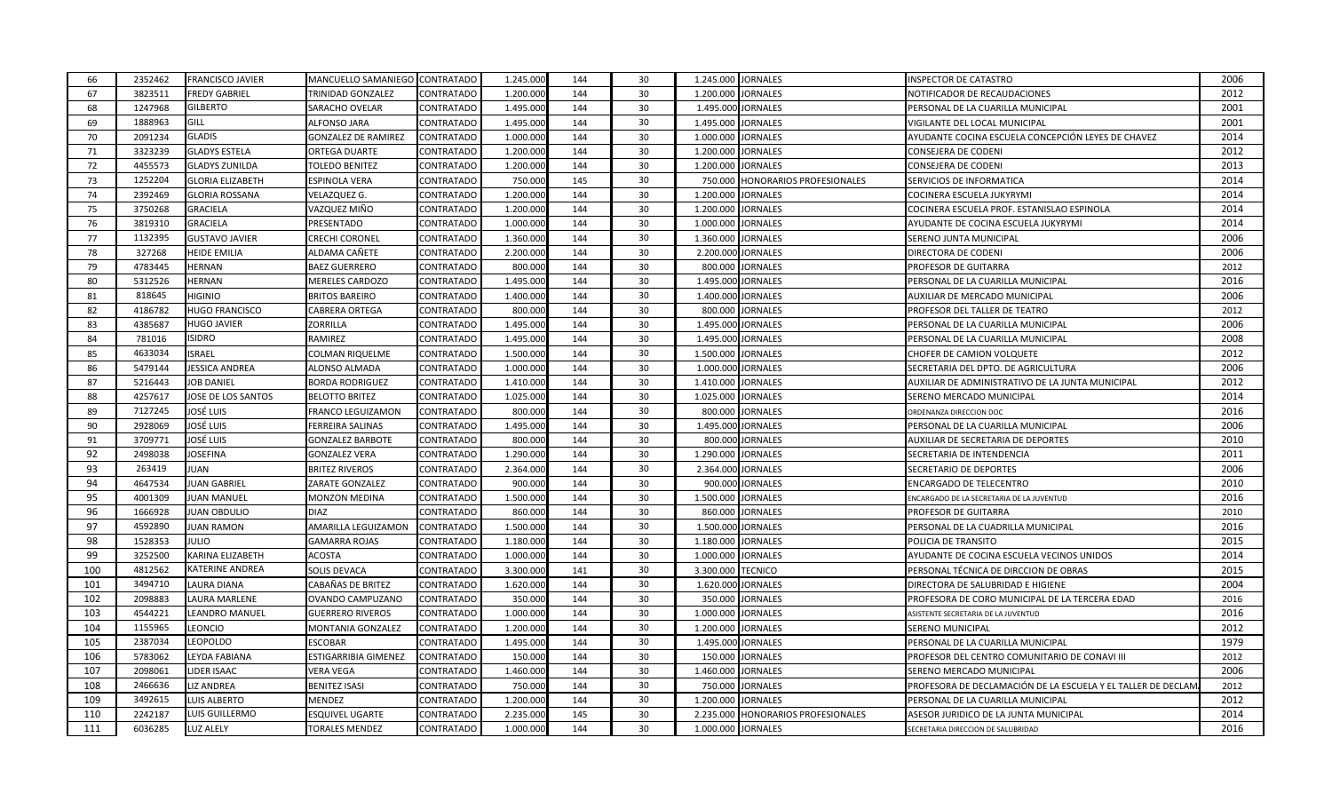| 66  | 2352462 | <b>FRANCISCO JAVIER</b> | MANCUELLO SAMANIEGO CONTRATADO |                   | 1.245.000 | 144 | 30 | 1.245.000 JORNALES |                                 | <b>INSPECTOR DE CATASTRO</b>                                 | 2006 |
|-----|---------|-------------------------|--------------------------------|-------------------|-----------|-----|----|--------------------|---------------------------------|--------------------------------------------------------------|------|
| 67  | 3823511 | <b>FREDY GABRIEL</b>    | TRINIDAD GONZALEZ              | <b>CONTRATADO</b> | 1.200.000 | 144 | 30 | 1.200.000          | <b>JORNALES</b>                 | NOTIFICADOR DE RECAUDACIONES                                 | 2012 |
| 68  | 1247968 | <b>GILBERTO</b>         | SARACHO OVELAR                 | CONTRATADO        | 1.495.000 | 144 | 30 |                    | 1.495.000 JORNALES              | PERSONAL DE LA CUARILLA MUNICIPAL                            | 2001 |
| 69  | 1888963 | GILL                    | ALFONSO JARA                   | CONTRATADO        | 1.495.000 | 144 | 30 | 1.495.000          | <b>JORNALES</b>                 | VIGILANTE DEL LOCAL MUNICIPAL                                | 2001 |
| 70  | 2091234 | <b>GLADIS</b>           | <b>GONZALEZ DE RAMIREZ</b>     | <b>CONTRATADO</b> | 1.000.000 | 144 | 30 | 1.000.000          | <b>JORNALES</b>                 | AYUDANTE COCINA ESCUELA CONCEPCIÓN LEYES DE CHAVEZ           | 2014 |
| 71  | 3323239 | <b>GLADYS ESTELA</b>    | ORTEGA DUARTE                  | CONTRATADO        | 1.200.000 | 144 | 30 | 1.200.000 JORNALES |                                 | CONSEJERA DE CODENI                                          | 2012 |
| 72  | 4455573 | <b>GLADYS ZUNILDA</b>   | TOLEDO BENITEZ                 | <b>CONTRATADO</b> | 1.200.000 | 144 | 30 | 1.200.000          | <b>JORNALES</b>                 | CONSEJERA DE CODENI                                          | 2013 |
| 73  | 1252204 | <b>GLORIA ELIZABETH</b> | ESPINOLA VERA                  | <b>CONTRATADO</b> | 750.000   | 145 | 30 | 750.000            | <b>HONORARIOS PROFESIONALES</b> | SERVICIOS DE INFORMATICA                                     | 2014 |
| 74  | 2392469 | <b>GLORIA ROSSANA</b>   | VELAZQUEZ G.                   | CONTRATADO        | 1.200.000 | 144 | 30 | 1.200.000          | <b>JORNALES</b>                 | COCINERA ESCUELA JUKYRYMI                                    | 2014 |
| 75  | 3750268 | <b>GRACIELA</b>         | VAZQUEZ MIÑO                   | CONTRATADO        | 1.200.000 | 144 | 30 | 1.200.000          | <b>JORNALES</b>                 | COCINERA ESCUELA PROF. ESTANISLAO ESPINOLA                   | 2014 |
| 76  | 3819310 | <b>GRACIELA</b>         | PRESENTADO                     | <b>CONTRATADO</b> | 1.000.000 | 144 | 30 | 1.000.000          | <b>JORNALES</b>                 | AYUDANTE DE COCINA ESCUELA JUKYRYMI                          | 2014 |
| 77  | 1132395 | <b>GUSTAVO JAVIER</b>   | <b>CRECHI CORONEL</b>          | CONTRATADO        | 1.360.000 | 144 | 30 | 1.360.000          | <b>JORNALES</b>                 | SERENO JUNTA MUNICIPAL                                       | 2006 |
| 78  | 327268  | <b>HEIDE EMILIA</b>     | ALDAMA CAÑETE                  | <b>CONTRATADO</b> | 2.200.000 | 144 | 30 | 2.200.000          | <b>JORNALES</b>                 | DIRECTORA DE CODENI                                          | 2006 |
| 79  | 4783445 | <b>HERNAN</b>           | <b>BAEZ GUERRERO</b>           | <b>CONTRATADO</b> | 800.000   | 144 | 30 |                    | 800.000 JORNALES                | PROFESOR DE GUITARRA                                         | 2012 |
| 80  | 5312526 | <b>HERNAN</b>           | MERELES CARDOZO                | <b>CONTRATADO</b> | 1.495.000 | 144 | 30 | 1.495.000 JORNALES |                                 | PERSONAL DE LA CUARILLA MUNICIPAL                            | 2016 |
| 81  | 818645  | <b>HIGINIO</b>          | BRITOS BAREIRO                 | CONTRATADO        | 1.400.000 | 144 | 30 | 1.400.000          | <b>JORNALES</b>                 | AUXILIAR DE MERCADO MUNICIPAL                                | 2006 |
| 82  | 4186782 | <b>HUGO FRANCISCO</b>   | CABRERA ORTEGA                 | CONTRATADO        | 800.000   | 144 | 30 | 800.000            | <b>JORNALES</b>                 | PROFESOR DEL TALLER DE TEATRO                                | 2012 |
| 83  | 4385687 | <b>HUGO JAVIER</b>      | ZORRILLA                       | CONTRATADO        | 1.495.000 | 144 | 30 |                    | 1.495.000 JORNALES              | PERSONAL DE LA CUARILLA MUNICIPAL                            | 2006 |
| 84  | 781016  | <b>ISIDRO</b>           | RAMIREZ                        | <b>CONTRATADO</b> | 1.495.000 | 144 | 30 | 1.495.000 JORNALES |                                 | PERSONAL DE LA CUARILLA MUNICIPAL                            | 2008 |
| 85  | 4633034 | <b>ISRAEL</b>           | <b>COLMAN RIQUELME</b>         | <b>CONTRATADO</b> | 1.500.000 | 144 | 30 | 1.500.000          | <b>JORNALES</b>                 | CHOFER DE CAMION VOLQUETE                                    | 2012 |
| 86  | 5479144 | <b>JESSICA ANDREA</b>   | ALONSO ALMADA                  | CONTRATADO        | 1.000.000 | 144 | 30 | 1.000.00           | <b>JORNALES</b>                 | SECRETARIA DEL DPTO. DE AGRICULTURA                          | 2006 |
| 87  | 5216443 | JOB DANIEL              | <b>BORDA RODRIGUEZ</b>         | CONTRATADO        | 1.410.000 | 144 | 30 | 1.410.000 JORNALES |                                 | AUXILIAR DE ADMINISTRATIVO DE LA JUNTA MUNICIPAL             | 2012 |
| 88  | 4257617 | JOSE DE LOS SANTOS      | <b>BELOTTO BRITEZ</b>          | CONTRATADO        | 1.025.000 | 144 | 30 | 1.025.000          | <b>JORNALES</b>                 | SERENO MERCADO MUNICIPAL                                     | 2014 |
| 89  | 7127245 | JOSÉ LUIS               | FRANCO LEGUIZAMON              | CONTRATADO        | 800.000   | 144 | 30 | 800.000            | JORNALES                        | ORDENANZA DIRECCION DOC                                      | 2016 |
| 90  | 2928069 | JOSÉ LUIS               | FERREIRA SALINAS               | CONTRATADO        | 1.495.000 | 144 | 30 | 1.495.000          | <b>JORNALES</b>                 | PERSONAL DE LA CUARILLA MUNICIPAL                            | 2006 |
| 91  | 3709771 | JOSÉ LUIS               | GONZALEZ BARBOTE               | <b>CONTRATADO</b> | 800.000   | 144 | 30 | 800.000            | <b>JORNALES</b>                 | AUXILIAR DE SECRETARIA DE DEPORTES                           | 2010 |
| 92  | 2498038 | <b>JOSEFINA</b>         | GONZALEZ VERA                  | CONTRATADO        | 1.290.000 | 144 | 30 | 1.290.000          | <b>JORNALES</b>                 | SECRETARIA DE INTENDENCIA                                    | 2011 |
| 93  | 263419  | JUAN                    | <b>BRITEZ RIVEROS</b>          | CONTRATADO        | 2.364.000 | 144 | 30 |                    | 2.364.000 JORNALES              | SECRETARIO DE DEPORTES                                       | 2006 |
| 94  | 4647534 | JUAN GABRIEL            | ZARATE GONZALEZ                | CONTRATADO        | 900.000   | 144 | 30 | 900.000            | <b>JORNALES</b>                 | ENCARGADO DE TELECENTRO                                      | 2010 |
| 95  | 4001309 | <b>JUAN MANUEL</b>      | MONZON MEDINA                  | CONTRATADO        | 1.500.000 | 144 | 30 | 1.500.000          | <b>JORNALES</b>                 | ENCARGADO DE LA SECRETARIA DE LA JUVENTUD                    | 2016 |
| 96  | 1666928 | <b>JUAN OBDULIO</b>     | <b>DIAZ</b>                    | <b>CONTRATADO</b> | 860.000   | 144 | 30 | 860.000            | <b>JORNALES</b>                 | PROFESOR DE GUITARRA                                         | 2010 |
| 97  | 4592890 | JUAN RAMON              | AMARILLA LEGUIZAMON            | CONTRATADO        | 1.500.000 | 144 | 30 | 1.500.000          | <b>JORNALES</b>                 | PERSONAL DE LA CUADRILLA MUNICIPAL                           | 2016 |
| 98  | 1528353 | Julio                   | <b>GAMARRA ROJAS</b>           | <b>CONTRATADO</b> | 1.180.000 | 144 | 30 | 1.180.000          | <b>JORNALES</b>                 | POLICIA DE TRANSITO                                          | 2015 |
| 99  | 3252500 | KARINA ELIZABETH        | ACOSTA                         | CONTRATADO        | 1.000.000 | 144 | 30 | 1.000.000          | <b>JORNALES</b>                 | AYUDANTE DE COCINA ESCUELA VECINOS UNIDOS                    | 2014 |
| 100 | 4812562 | KATERINE ANDREA         | SOLIS DEVACA                   | CONTRATADO        | 3.300.000 | 141 | 30 | 3.300.000          | <b>TECNICO</b>                  | PERSONAL TÉCNICA DE DIRCCION DE OBRAS                        | 2015 |
| 101 | 3494710 | LAURA DIANA             | CABAÑAS DE BRITEZ              | CONTRATADO        | 1.620.000 | 144 | 30 |                    | 1.620.000 JORNALES              | DIRECTORA DE SALUBRIDAD E HIGIENE                            | 2004 |
| 102 | 2098883 | LAURA MARLENE           | OVANDO CAMPUZANO               | CONTRATADO        | 350.000   | 144 | 30 | 350.000            | <b>JORNALES</b>                 | PROFESORA DE CORO MUNICIPAL DE LA TERCERA EDAD               | 2016 |
| 103 | 4544221 | LEANDRO MANUEL          | <b>GUERRERO RIVEROS</b>        | CONTRATADO        | 1.000.000 | 144 | 30 | 1.000.000 JORNALES |                                 | ASISTENTE SECRETARIA DE LA JUVENTUD                          | 2016 |
| 104 | 1155965 | LEONCIO                 | MONTANIA GONZALEZ              | <b>CONTRATADO</b> | 1.200.000 | 144 | 30 | 1.200.000          | <b>JORNALES</b>                 | SERENO MUNICIPAL                                             | 2012 |
| 105 | 2387034 | <b>LEOPOLDO</b>         | ESCOBAR                        | CONTRATADO        | 1.495.000 | 144 | 30 | 1.495.000          | <b>JORNALES</b>                 | PERSONAL DE LA CUARILLA MUNICIPAL                            | 1979 |
| 106 | 5783062 | LEYDA FABIANA           | ESTIGARRIBIA GIMENEZ           | <b>CONTRATADO</b> | 150.000   | 144 | 30 | 150.000            | <b>JORNALES</b>                 | PROFESOR DEL CENTRO COMUNITARIO DE CONAVI III                | 2012 |
| 107 | 2098061 | LIDER ISAAC             | VERA VEGA                      | CONTRATADO        | 1.460.000 | 144 | 30 | 1.460.000          | <b>JORNALES</b>                 | SERENO MERCADO MUNICIPAL                                     | 2006 |
| 108 | 2466636 | LIZ ANDREA              | BENITEZ ISASI                  | CONTRATADO        | 750.000   | 144 | 30 | 750.000            | <b>JORNALES</b>                 | PROFESORA DE DECLAMACIÓN DE LA ESCUELA Y EL TALLER DE DECLAN | 2012 |
| 109 | 3492615 | LUIS ALBERTO            | MENDEZ                         | CONTRATADO        | 1.200.000 | 144 | 30 | 1.200.000          | <b>JORNALES</b>                 | PERSONAL DE LA CUARILLA MUNICIPAL                            | 2012 |
| 110 | 2242187 | LUIS GUILLERMO          | ESQUIVEL UGARTE                | CONTRATADO        | 2.235.000 | 145 | 30 | 2.235.000          | <b>HONORARIOS PROFESIONALES</b> | ASESOR JURIDICO DE LA JUNTA MUNICIPAL                        | 2014 |
| 111 | 6036285 | <b>LUZ ALELY</b>        | <b>TORALES MENDEZ</b>          | CONTRATADO        | 1.000.000 | 144 | 30 | 1.000.000 JORNALES |                                 | SECRETARIA DIRECCION DE SALUBRIDAD                           | 2016 |
|     |         |                         |                                |                   |           |     |    |                    |                                 |                                                              |      |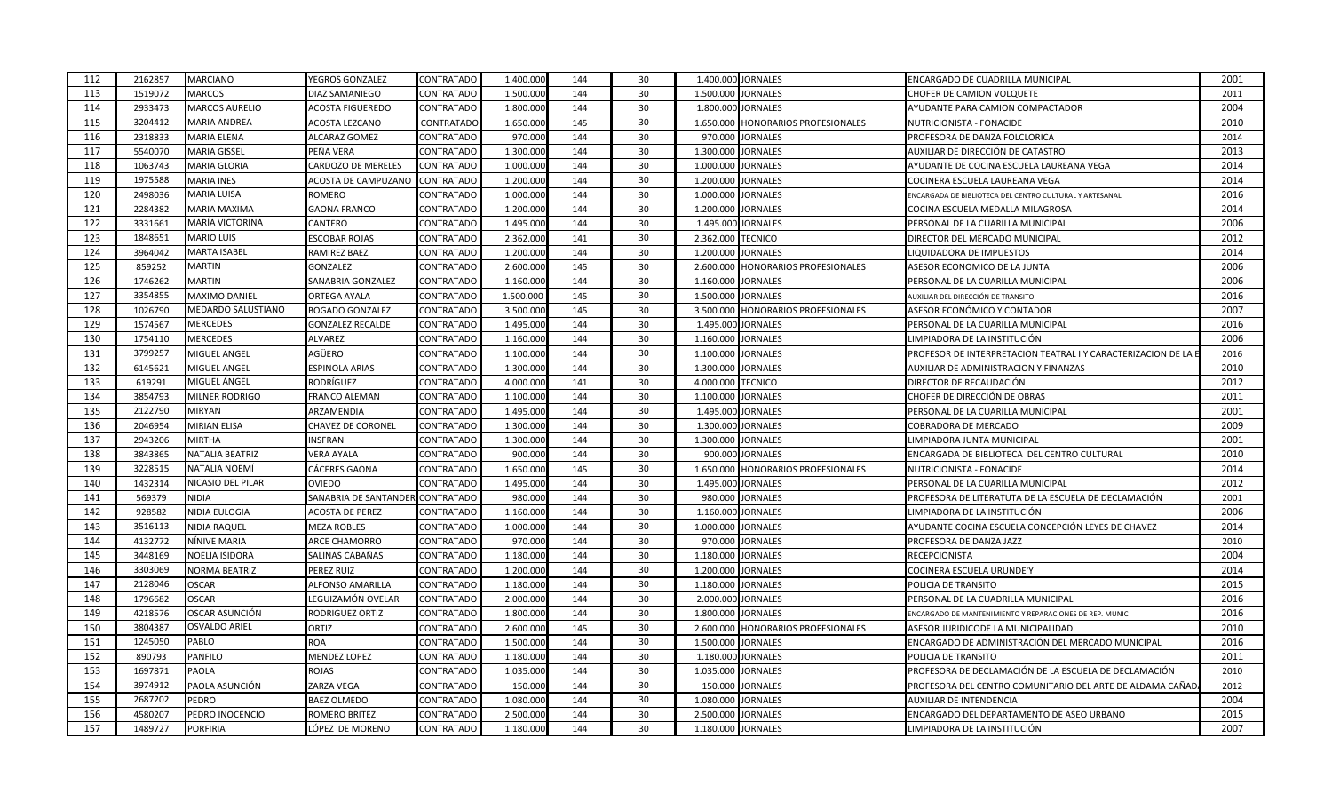| 112 | 2162857 | MARCIANO               | YEGROS GONZALEZ         | <b>CONTRATADO</b> | 1.400.000 | 144 | 30 |                    | 1.400.000 JORNALES              | ENCARGADO DE CUADRILLA MUNICIPAL                             | 2001 |
|-----|---------|------------------------|-------------------------|-------------------|-----------|-----|----|--------------------|---------------------------------|--------------------------------------------------------------|------|
| 113 | 1519072 | <b>MARCOS</b>          | DIAZ SAMANIEGO          | CONTRATADO        | 1.500.000 | 144 | 30 | 1.500.000          | <b>JORNALES</b>                 | CHOFER DE CAMION VOLQUETE                                    | 2011 |
| 114 | 2933473 | MARCOS AURELIO         | <b>ACOSTA FIGUEREDO</b> | <b>CONTRATADO</b> | 1.800.000 | 144 | 30 |                    | 1.800.000 JORNALES              | AYUDANTE PARA CAMION COMPACTADOR                             | 2004 |
| 115 | 3204412 | <b>MARIA ANDREA</b>    | ACOSTA LEZCANO          | CONTRATADO        | 1.650.000 | 145 | 30 | 1.650.000          | HONORARIOS PROFESIONALES        | NUTRICIONISTA - FONACIDE                                     | 2010 |
| 116 | 2318833 | MARIA ELENA            | ALCARAZ GOMEZ           | CONTRATADO        | 970.00    | 144 | 30 | 970.000            | <b>JORNALES</b>                 | PROFESORA DE DANZA FOLCLORICA                                | 2014 |
| 117 | 5540070 | MARIA GISSEL           | PEÑA VERA               | CONTRATADO        | 1.300.000 | 144 | 30 |                    | 1.300.000 JORNALES              | AUXILIAR DE DIRECCIÓN DE CATASTRO                            | 2013 |
| 118 | 1063743 | MARIA GLORIA           | CARDOZO DE MERELES      | <b>CONTRATADO</b> | 1.000.000 | 144 | 30 |                    | 1.000.000 JORNALES              | AYUDANTE DE COCINA ESCUELA LAUREANA VEGA                     | 2014 |
| 119 | 1975588 | <b>MARIA INES</b>      | ACOSTA DE CAMPUZANO     | <b>CONTRATADO</b> | 1.200.000 | 144 | 30 | 1.200.000          | <b>JORNALES</b>                 | COCINERA ESCUELA LAUREANA VEGA                               | 2014 |
| 120 | 2498036 | MARIA LUISA            | ROMERO                  | CONTRATADO        | 1.000.000 | 144 | 30 | 1.000.000          | <b>JORNALES</b>                 | NCARGADA DE BIBLIOTECA DEL CENTRO CULTURAL Y ARTESANAL       | 2016 |
| 121 | 2284382 | MARIA MAXIMA           | <b>GAONA FRANCO</b>     | CONTRATADO        | 1.200.000 | 144 | 30 | 1.200.000          | <b>JORNALES</b>                 | COCINA ESCUELA MEDALLA MILAGROSA                             | 2014 |
| 122 | 3331661 | MARÍA VICTORINA        | CANTERO                 | CONTRATADC        | 1.495.000 | 144 | 30 |                    | 1.495.000 JORNALES              | PERSONAL DE LA CUARILLA MUNICIPAL                            | 2006 |
| 123 | 1848651 | <b>MARIO LUIS</b>      | ESCOBAR ROJAS           | CONTRATADO        | 2.362.000 | 141 | 30 | 2.362.000          | <b>TECNICO</b>                  | DIRECTOR DEL MERCADO MUNICIPAL                               | 2012 |
| 124 | 3964042 | <b>MARTA ISABEL</b>    | RAMIREZ BAEZ            | CONTRATADC        | 1.200.000 | 144 | 30 | 1.200.000          | <b>JORNALES</b>                 | LIQUIDADORA DE IMPUESTOS                                     | 2014 |
| 125 | 859252  | MARTIN                 | GONZALEZ                | CONTRATADO        | 2.600.000 | 145 | 30 | 2.600.000          | <b>HONORARIOS PROFESIONALES</b> | ASESOR ECONOMICO DE LA JUNTA                                 | 2006 |
| 126 | 1746262 | MARTIN                 | SANABRIA GONZALEZ       | CONTRATADO        | 1.160.000 | 144 | 30 | 1.160.000          | <b>JORNALES</b>                 | PERSONAL DE LA CUARILLA MUNICIPAL                            | 2006 |
| 127 | 3354855 | MAXIMO DANIEL          | ORTEGA AYALA            | CONTRATADO        | 1.500.000 | 145 | 30 | 1.500.000          | <b>JORNALES</b>                 | AUXILIAR DEL DIRECCIÓN DE TRANSITO                           | 2016 |
| 128 | 1026790 | MEDARDO SALUSTIANO     | <b>BOGADO GONZALEZ</b>  | CONTRATADC        | 3.500.000 | 145 | 30 | 3.500.000          | HONORARIOS PROFESIONALES        | ASESOR ECONÓMICO Y CONTADOR                                  | 2007 |
| 129 | 1574567 | MERCEDES               | <b>GONZALEZ RECALDE</b> | <b>CONTRATADO</b> | 1.495.000 | 144 | 30 |                    | 1.495.000 JORNALES              | PERSONAL DE LA CUARILLA MUNICIPAL                            | 2016 |
| 130 | 1754110 | MERCEDES               | ALVAREZ                 | CONTRATADO        | 1.160.000 | 144 | 30 | 1.160.000 JORNALES |                                 | LIMPIADORA DE LA INSTITUCIÓN                                 | 2006 |
| 131 | 3799257 | MIGUEL ANGEL           | AGÜERO                  | CONTRATADO        | 1.100.000 | 144 | 30 | 1.100.000          | <b>JORNALES</b>                 | PROFESOR DE INTERPRETACION TEATRAL I Y CARACTERIZACION DE LA | 2016 |
| 132 | 6145621 | MIGUEL ANGEL           | ESPINOLA ARIAS          | CONTRATADC        | 1.300.000 | 144 | 30 | 1.300.000          | <b>JORNALES</b>                 | AUXILIAR DE ADMINISTRACION Y FINANZAS                        | 2010 |
| 133 | 619291  | MIGUEL ÁNGEL           | RODRÍGUEZ               | CONTRATADO        | 4.000.000 | 141 | 30 | 4.000.000          | <b>TECNICO</b>                  | DIRECTOR DE RECAUDACIÓN                                      | 2012 |
| 134 | 3854793 | MILNER RODRIGO         | FRANCO ALEMAN           | CONTRATADO        | 1.100.000 | 144 | 30 | 1.100.000          | <b>JORNALES</b>                 | CHOFER DE DIRECCIÓN DE OBRAS                                 | 2011 |
| 135 | 2122790 | MIRYAN                 | ARZAMENDIA              | CONTRATADO        | 1.495.000 | 144 | 30 |                    | 1.495.000 JORNALES              | PERSONAL DE LA CUARILLA MUNICIPAL                            | 2001 |
| 136 | 2046954 | MIRIAN ELISA           | CHAVEZ DE CORONEL       | CONTRATADO        | 1.300.000 | 144 | 30 | 1.300.000          | <b>JORNALES</b>                 | COBRADORA DE MERCADO                                         | 2009 |
| 137 | 2943206 | MIRTHA                 | <b>NSFRAN</b>           | CONTRATADO        | 1.300.000 | 144 | 30 | 1.300.000          | <b>JORNALES</b>                 | LIMPIADORA JUNTA MUNICIPAL                                   | 2001 |
| 138 | 3843865 | <b>VATALIA BEATRIZ</b> | VERA AYALA              | CONTRATADO        | 900.000   | 144 | 30 |                    | 900.000 JORNALES                | ENCARGADA DE BIBLIOTECA DEL CENTRO CULTURAL                  | 2010 |
| 139 | 3228515 | NATALIA NOEMÍ          | CÁCERES GAONA           | CONTRATADO        | 1.650.000 | 145 | 30 | 1.650.000          | HONORARIOS PROFESIONALES        | NUTRICIONISTA - FONACIDE                                     | 2014 |
| 140 | 1432314 | NICASIO DEL PILAR      | OVIEDO                  | CONTRATADO        | 1.495.000 | 144 | 30 | 1.495.000          | <b>JORNALES</b>                 | PERSONAL DE LA CUARILLA MUNICIPAL                            | 2012 |
| 141 | 569379  | <b>NIDIA</b>           | SANABRIA DE SANTANDEI   | CONTRATADO        | 980.000   | 144 | 30 | 980.000            | <b>JORNALES</b>                 | PROFESORA DE LITERATUTA DE LA ESCUELA DE DECLAMACIÓN         | 2001 |
| 142 | 928582  | <b>VIDIA EULOGIA</b>   | ACOSTA DE PEREZ         | CONTRATADO        | 1.160.000 | 144 | 30 |                    | 1.160.000 JORNALES              | LIMPIADORA DE LA INSTITUCIÓN                                 | 2006 |
| 143 | 3516113 | <b>VIDIA RAQUEL</b>    | <b>MEZA ROBLES</b>      | CONTRATADO        | 1.000.000 | 144 | 30 |                    | 1.000.000 JORNALES              | AYUDANTE COCINA ESCUELA CONCEPCIÓN LEYES DE CHAVEZ           | 2014 |
| 144 | 4132772 | NÍNIVE MARIA           | ARCE CHAMORRO           | CONTRATADO        | 970.000   | 144 | 30 | 970.000            | <b>JORNALES</b>                 | PROFESORA DE DANZA JAZZ                                      | 2010 |
| 145 | 3448169 | NOELIA ISIDORA         | SALINAS CABAÑAS         | CONTRATADC        | 1.180.000 | 144 | 30 | 1.180.000          | <b>JORNALES</b>                 | RECEPCIONISTA                                                | 2004 |
| 146 | 3303069 | NORMA BEATRIZ          | PEREZ RUIZ              | CONTRATADO        | 1.200.000 | 144 | 30 |                    | 1.200.000 JORNALES              | COCINERA ESCUELA URUNDE'Y                                    | 2014 |
| 147 | 2128046 | <b>OSCAR</b>           | ALFONSO AMARILLA        | CONTRATADO        | 1.180.000 | 144 | 30 | 1.180.000          | <b>JORNALES</b>                 | POLICIA DE TRANSITO                                          | 2015 |
| 148 | 1796682 | OSCAR                  | LEGUIZAMÓN OVELAR       | <b>CONTRATADO</b> | 2.000.000 | 144 | 30 | 2.000.000          | <b>JORNALES</b>                 | PERSONAL DE LA CUADRILLA MUNICIPAL                           | 2016 |
| 149 | 4218576 | OSCAR ASUNCIÓN         | RODRIGUEZ ORTIZ         | CONTRATADO        | 1.800.000 | 144 | 30 | 1.800.000          | <b>JORNALES</b>                 | NCARGADO DE MANTENIMIENTO Y REPARACIONES DE REP. MUNIC       | 2016 |
| 150 | 3804387 | OSVALDO ARIEL          | ORTIZ                   | <b>CONTRATADO</b> | 2.600.000 | 145 | 30 | 2.600.000          | <b>HONORARIOS PROFESIONALES</b> | ASESOR JURIDICODE LA MUNICIPALIDAD                           | 2010 |
| 151 | 1245050 | PABLO                  | <b>ROA</b>              | CONTRATADC        | 1.500.000 | 144 | 30 | 1.500.000          | <b>JORNALES</b>                 | ENCARGADO DE ADMINISTRACIÓN DEL MERCADO MUNICIPAL            | 2016 |
| 152 | 890793  | PANFILO                | <b>MENDEZ LOPEZ</b>     | CONTRATADO        | 1.180.000 | 144 | 30 |                    | 1.180.000 JORNALES              | POLICIA DE TRANSITO                                          | 2011 |
| 153 | 1697871 | PAOLA                  | ROJAS                   | CONTRATADC        | 1.035.000 | 144 | 30 | 1.035.000          | <b>JORNALES</b>                 | PROFESORA DE DECLAMACIÓN DE LA ESCUELA DE DECLAMACIÓN        | 2010 |
| 154 | 3974912 | PAOLA ASUNCIÓN         | ZARZA VEGA              | CONTRATADO        | 150.000   | 144 | 30 | 150.000            | <b>JORNALES</b>                 | PROFESORA DEL CENTRO COMUNITARIO DEL ARTE DE ALDAMA CAÑAD    | 2012 |
| 155 | 2687202 | PEDRO                  | <b>BAEZ OLMEDO</b>      | CONTRATADO        | 1.080.000 | 144 | 30 | 1.080.000          | <b>JORNALES</b>                 | AUXILIAR DE INTENDENCIA                                      | 2004 |
| 156 | 4580207 | PEDRO INOCENCIO        | ROMERO BRITEZ           | <b>CONTRATADO</b> | 2.500.000 | 144 | 30 | 2.500.000          | <b>JORNALES</b>                 | ENCARGADO DEL DEPARTAMENTO DE ASEO URBANO                    | 2015 |
| 157 | 1489727 | <b>PORFIRIA</b>        | LÓPEZ DE MORENO         | <b>CONTRATADO</b> | 1.180.000 | 144 | 30 | 1.180.000 JORNALES |                                 | LIMPIADORA DE LA INSTITUCIÓN                                 | 2007 |
|     |         |                        |                         |                   |           |     |    |                    |                                 |                                                              |      |